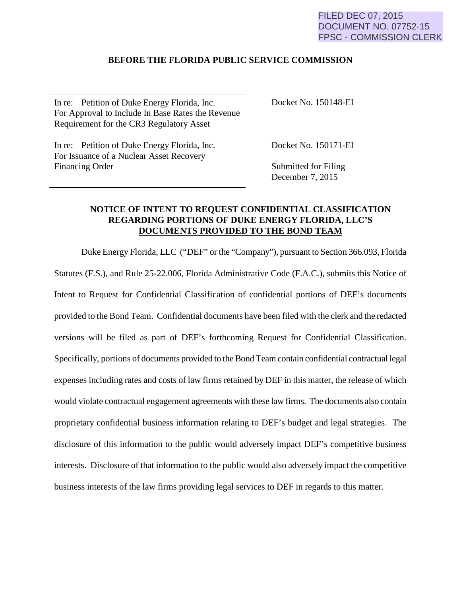## FILED DEC 07, 2015 DOCUMENT NO. 07752-15 FPSC - COMMISSION CLERK

## **BEFORE THE FLORIDA PUBLIC SERVICE COMMISSION**

In re: Petition of Duke Energy Florida, Inc. For Approval to Include In Base Rates the Revenue Requirement for the CR3 Regulatory Asset

Docket No. 150148-EI

In re: Petition of Duke Energy Florida, Inc. For Issuance of a Nuclear Asset Recovery Financing Order

Docket No. 150171-EI

Submitted for Filing December 7, 2015

## **NOTICE OF INTENT TO REQUEST CONFIDENTIAL CLASSIFICATION REGARDING PORTIONS OF DUKE ENERGY FLORIDA, LLC'S DOCUMENTS PROVIDED TO THE BOND TEAM**

Duke Energy Florida, LLC ("DEF" or the "Company"), pursuant to Section 366.093, Florida Statutes (F.S.), and Rule 25-22.006, Florida Administrative Code (F.A.C.), submits this Notice of Intent to Request for Confidential Classification of confidential portions of DEF's documents provided to the Bond Team. Confidential documents have been filed with the clerk and the redacted versions will be filed as part of DEF's forthcoming Request for Confidential Classification. Specifically, portions of documents provided to the Bond Team contain confidential contractual legal expenses including rates and costs of law firms retained by DEF in this matter, the release of which would violate contractual engagement agreements with these law firms. The documents also contain proprietary confidential business information relating to DEF's budget and legal strategies. The disclosure of this information to the public would adversely impact DEF's competitive business interests. Disclosure of that information to the public would also adversely impact the competitive business interests of the law firms providing legal services to DEF in regards to this matter.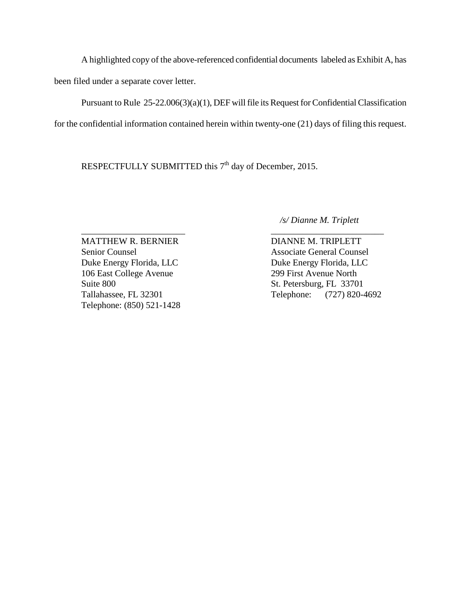A highlighted copy of the above-referenced confidential documents labeled as Exhibit A, has been filed under a separate cover letter.

 Pursuant to Rule 25-22.006(3)(a)(1), DEF will file its Request for Confidential Classification for the confidential information contained herein within twenty-one (21) days of filing this request.

RESPECTFULLY SUBMITTED this  $7<sup>th</sup>$  day of December, 2015.

 */s/ Dianne M. Triplett*

\_\_\_\_\_\_\_\_\_\_\_\_\_\_\_\_\_\_\_\_\_\_\_ \_\_\_\_\_\_\_\_\_\_\_\_\_\_\_\_\_\_\_\_\_\_\_\_\_ MATTHEW R. BERNIER DIANNE M. TRIPLETT Senior Counsel Associate General Counsel Duke Energy Florida, LLC<br>Duke Energy Florida, LLC 106 East College Avenue 299 First Avenue North Suite 800 St. Petersburg, FL 33701 Telephone: (850) 521-1428

Tallahassee, FL 32301 Telephone: (727) 820-4692